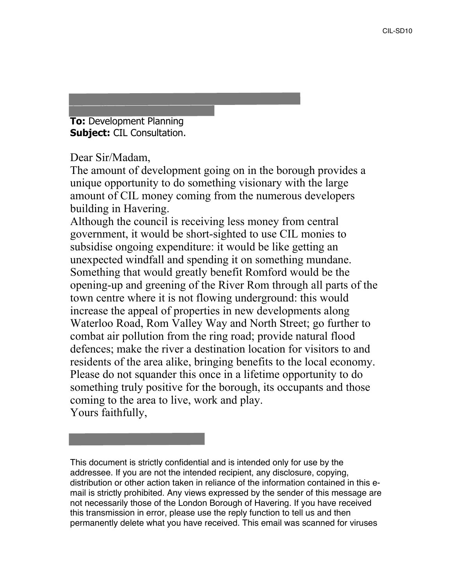**Sent:** 28 September 2018 10:34 **To:** Development Planning **Subject:** CIL Consultation.

Ms Ruth Crabb, BSc (Hons).

Dear Sir/Madam,

The amount of development going on in the borough provides a unique opportunity to do something visionary with the large amount of CIL money coming from the numerous developers building in Havering.

Although the council is receiving less money from central government, it would be short-sighted to use CIL monies to subsidise ongoing expenditure: it would be like getting an unexpected windfall and spending it on something mundane. Something that would greatly benefit Romford would be the opening-up and greening of the River Rom through all parts of the town centre where it is not flowing underground: this would increase the appeal of properties in new developments along Waterloo Road, Rom Valley Way and North Street; go further to combat air pollution from the ring road; provide natural flood defences; make the river a destination location for visitors to and residents of the area alike, bringing benefits to the local economy. Please do not squander this once in a lifetime opportunity to do something truly positive for the borough, its occupants and those coming to the area to live, work and play. Yours faithfully,

This document is strictly confidential and is intended only for use by the addressee. If you are not the intended recipient, any disclosure, copying, distribution or other action taken in reliance of the information contained in this email is strictly prohibited. Any views expressed by the sender of this message are not necessarily those of the London Borough of Havering. If you have received this transmission in error, please use the reply function to tell us and then permanently delete what you have received. This email was scanned for viruses